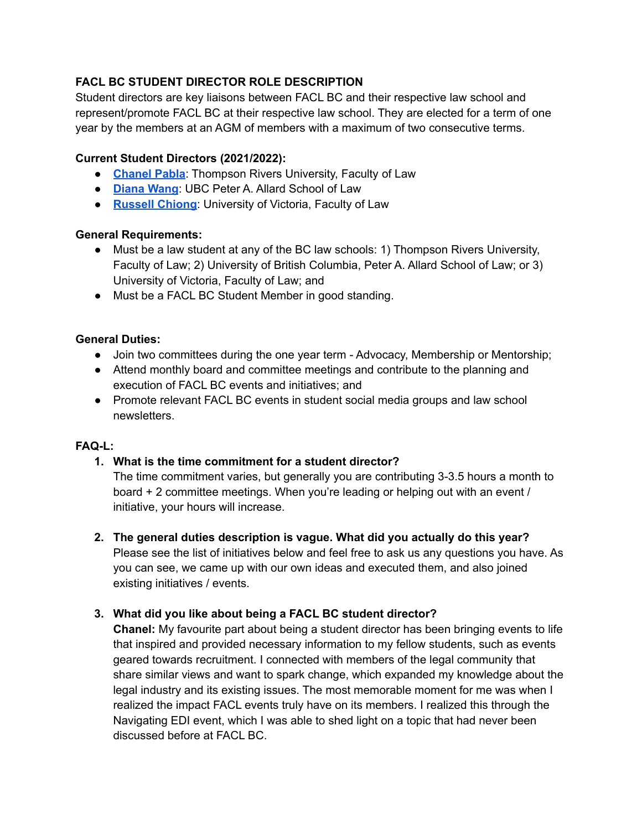# **FACL BC STUDENT DIRECTOR ROLE DESCRIPTION**

Student directors are key liaisons between FACL BC and their respective law school and represent/promote FACL BC at their respective law school. They are elected for a term of one year by the members at an AGM of members with a maximum of two consecutive terms.

## **Current Student Directors (2021/2022):**

- **[Chanel](https://www.linkedin.com/in/chanelpabla/) Pabla**: Thompson Rivers University, Faculty of Law
- **[Diana](https://linktr.ee/diana.wang) Wang**: UBC Peter A. Allard School of Law
- **[Russell](https://linktr.ee/russellchiong) Chiong**: University of Victoria, Faculty of Law

#### **General Requirements:**

- Must be a law student at any of the BC law schools: 1) Thompson Rivers University, Faculty of Law; 2) University of British Columbia, Peter A. Allard School of Law; or 3) University of Victoria, Faculty of Law; and
- Must be a FACL BC Student Member in good standing.

#### **General Duties:**

- Join two committees during the one year term Advocacy, Membership or Mentorship;
- Attend monthly board and committee meetings and contribute to the planning and execution of FACL BC events and initiatives; and
- Promote relevant FACL BC events in student social media groups and law school newsletters.

#### **FAQ-L:**

## **1. What is the time commitment for a student director?**

The time commitment varies, but generally you are contributing 3-3.5 hours a month to board + 2 committee meetings. When you're leading or helping out with an event / initiative, your hours will increase.

**2. The general duties description is vague. What did you actually do this year?**

Please see the list of initiatives below and feel free to ask us any questions you have. As you can see, we came up with our own ideas and executed them, and also joined existing initiatives / events.

## **3. What did you like about being a FACL BC student director?**

**Chanel:** My favourite part about being a student director has been bringing events to life that inspired and provided necessary information to my fellow students, such as events geared towards recruitment. I connected with members of the legal community that share similar views and want to spark change, which expanded my knowledge about the legal industry and its existing issues. The most memorable moment for me was when I realized the impact FACL events truly have on its members. I realized this through the Navigating EDI event, which I was able to shed light on a topic that had never been discussed before at FACL BC.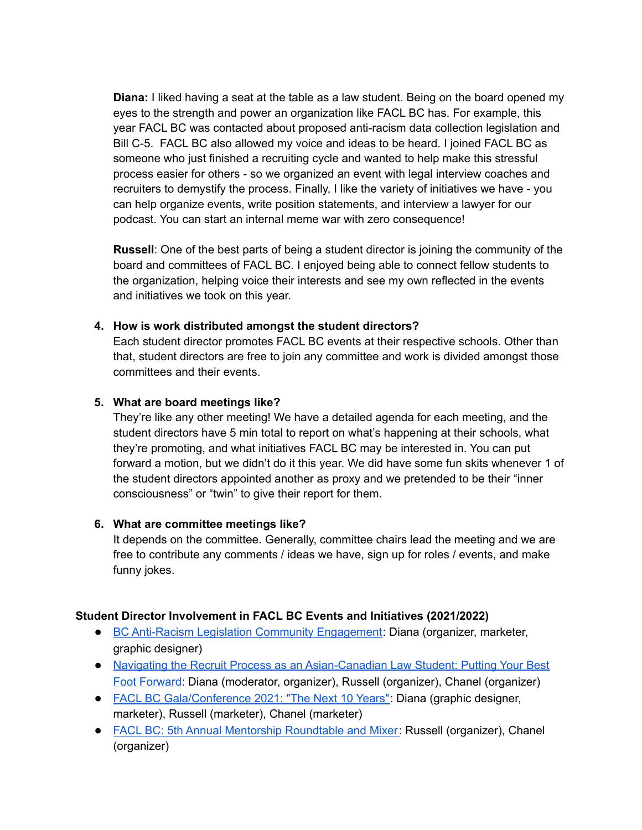**Diana:** I liked having a seat at the table as a law student. Being on the board opened my eyes to the strength and power an organization like FACL BC has. For example, this year FACL BC was contacted about proposed anti-racism data collection legislation and Bill C-5. FACL BC also allowed my voice and ideas to be heard. I joined FACL BC as someone who just finished a recruiting cycle and wanted to help make this stressful process easier for others - so we organized an event with legal interview coaches and recruiters to demystify the process. Finally, I like the variety of initiatives we have - you can help organize events, write position statements, and interview a lawyer for our podcast. You can start an internal meme war with zero consequence!

**Russell**: One of the best parts of being a student director is joining the community of the board and committees of FACL BC. I enjoyed being able to connect fellow students to the organization, helping voice their interests and see my own reflected in the events and initiatives we took on this year.

#### **4. How is work distributed amongst the student directors?**

Each student director promotes FACL BC events at their respective schools. Other than that, student directors are free to join any committee and work is divided amongst those committees and their events.

#### **5. What are board meetings like?**

They're like any other meeting! We have a detailed agenda for each meeting, and the student directors have 5 min total to report on what's happening at their schools, what they're promoting, and what initiatives FACL BC may be interested in. You can put forward a motion, but we didn't do it this year. We did have some fun skits whenever 1 of the student directors appointed another as proxy and we pretended to be their "inner consciousness" or "twin" to give their report for them.

## **6. What are committee meetings like?**

It depends on the committee. Generally, committee chairs lead the meeting and we are free to contribute any comments / ideas we have, sign up for roles / events, and make funny jokes.

## **Student Director Involvement in FACL BC Events and Initiatives (2021/2022)**

- BC Anti-Racism Legislation Community [Engagement](https://faclbc.ca/event-4615715): Diana (organizer, marketer, graphic designer)
- Navigating the Recruit Process as an [Asian-Canadian](https://faclbc.ca/event-4480913) Law Student: Putting Your Best Foot [Forward](https://faclbc.ca/event-4480913): Diana (moderator, organizer), Russell (organizer), Chanel (organizer)
- FACL BC [Gala/Conference](https://faclbc.ca/event-4558276) 2021: "The Next 10 Years": Diana (graphic designer, marketer), Russell (marketer), Chanel (marketer)
- FACL BC: 5th Annual Mentorship [Roundtable](https://faclbc.ca/event-4629169) and Mixer: Russell (organizer), Chanel (organizer)